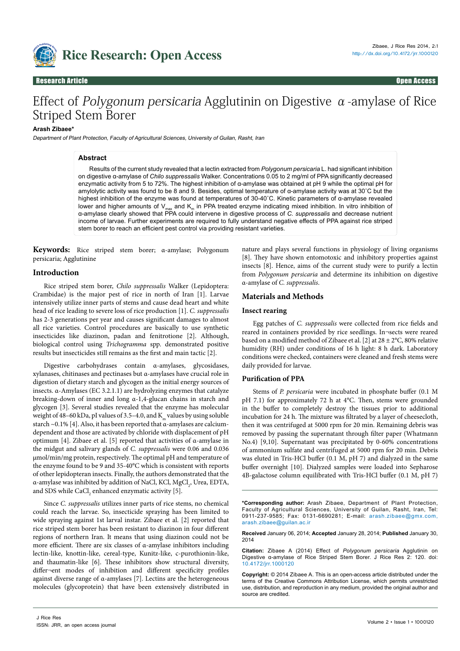

## Research Article Open Access Research Article Open Access

# Effect of Polygonum persicaria Agglutinin on Digestive  $\alpha$ -amylase of Rice Striped Stem Borer

#### **Arash Zibaee\***

Department of Plant Protection, Faculty of Agricultural Sciences, University of Guilan, Rasht, Iran

#### **Abstract**

Results of the current study revealed that a lectin extracted from *Polygonum persicaria* L. had significant inhibition on digestive α-amylase of *Chilo suppressalis* Walker. Concentrations 0.05 to 2 mg/ml of PPA significantly decreased enzymatic activity from 5 to 72%. The highest inhibition of α-amylase was obtained at pH 9 while the optimal pH for amylolytic activity was found to be 8 and 9. Besides, optimal temperature of α-amylase activity was at 30˚C but the highest inhibition of the enzyme was found at temperatures of 30-40˚C. Kinetic parameters of α-amylase revealed lower and higher amounts of  $V_{\text{max}}$  and  $K_m$  in PPA treated enzyme indicating mixed inhibition. In vitro inhibition of α-amylase clearly showed that PPA could intervene in digestive process of *C. suppressalis* and decrease nutrient income of larvae. Further experiments are required to fully understand negative effects of PPA against rice striped stem borer to reach an efficient pest control via providing resistant varieties.

**Keywords:** Rice striped stem borer; α-amylase; Polygonum persicaria; Agglutinine

#### **Introduction**

Rice striped stem borer, *Chilo suppressalis* Walker (Lepidoptera: Crambidae) is the major pest of rice in north of Iran [1]. Larvae intensively utilize inner parts of stems and cause dead heart and white head of rice leading to severe loss of rice production [1]. *C. suppressalis*  has 2-3 generations per year and causes significant damages to almost all rice varieties. Control procedures are basically to use synthetic insecticides like diazinon, padan and fenitrotione [2]. Although, biological control using *Trichogramma* spp. demonstrated positive results but insecticides still remains as the first and main tactic [2].

Digestive carbohydrases contain α-amylases, glycosidases, xylanases, chitinases and pectinases but α-amylases have crucial role in digestion of dietary starch and glycogen as the initial energy sources of insects. α-Amylases (EC 3.2.1.1) are hydrolyzing enzymes that catalyze breaking-down of inner and long α-1,4-glucan chains in starch and glycogen [3]. Several studies revealed that the enzyme has molecular weight of 48–60 kDa, pI values of 3.5–4.0, and  $K_m$  values by using soluble starch ~0.1% [4]. Also, it has been reported that  $\alpha$ -amylases are calciumdependent and those are activated by chloride with displacement of pH optimum [4]. Zibaee et al. [5] reported that activities of α-amylase in the midgut and salivary glands of *C. suppressalis* were 0.06 and 0.036 μmol/min/mg protein, respectively. The optimal pH and temperature of the enzyme found to be 9 and 35-40°C which is consistent with reports of other lepidopteran insects. Finally, the authors demonstrated that the α-amylase was inhibited by addition of NaCl, KCl,  ${MgCl}_2$ , Urea, EDTA, and SDS while  $\mathrm{CaCl}_{2}$  enhanced enzymatic activity [5].

Since *C. suppressalis* utilizes inner parts of rice stems, no chemical could reach the larvae. So, insecticide spraying has been limited to wide spraying against 1st larval instar. Zibaee et al. [2] reported that rice striped stem borer has been resistant to diazinon in four different regions of northern Iran. It means that using diazinon could not be more efficient. There are six classes of α-amylase inhibitors including lectin-like, knottin-like, cereal-type, Kunitz-like, c-purothionin-like, and thaumatin-like [6]. These inhibitors show structural diversity, differ¬ent modes of inhibition and different specificity profiles against diverse range of α-amylases [7]. Lectins are the heterogeneous molecules (glycoprotein) that have been extensively distributed in

nature and plays several functions in physiology of living organisms [8]. They have shown entomotoxic and inhibitory properties against insects [8]. Hence, aims of the current study were to purify a lectin from *Polygonum persicaria* and determine its inhibition on digestive α-amylase of *C. suppressalis*.

#### **Materials and Methods**

## **Insect rearing**

Egg patches of *C. suppressalis* were collected from rice fields and reared in containers provided by rice seedlings. In¬sects were reared based on a modified method of Zibaee et al. [2] at  $28 \pm 2^{\circ}$ C, 80% relative humidity (RH) under conditions of 16 h light: 8 h dark. Laboratory conditions were checked, containers were cleaned and fresh stems were daily provided for larvae.

#### **Purification of PPA**

Stems of *P. persicaria* were incubated in phosphate buffer (0.1 M pH 7.1) for approximately 72 h at 4°C. Then, stems were grounded in the buffer to completely destroy the tissues prior to additional incubation for 24 h. The mixture was filtrated by a layer of cheesecloth, then it was centrifuged at 5000 rpm for 20 min. Remaining debris was removed by passing the supernatant through filter paper (Whatmann No.4) [9,10]. Supernatant was precipitated by 0-60% concentrations of ammonium sulfate and centrifuged at 5000 rpm for 20 min. Debris was eluted in Tris-HCl buffer (0.1 M, pH 7) and dialyzed in the same buffer overnight [10]. Dialyzed samples were loaded into Sepharose 4B-galactose column equilibrated with Tris-HCl buffer (0.1 M, pH 7)

**\*Corresponding author:** Arash Zibaee, Department of Plant Protection, Faculty of Agricultural Sciences, University of Guilan, Rasht, Iran, Tel: 0911-237-9585; Fax: 0131-6690281; E-mail: arash.zibaee@gmx.com, arash.zibaee@guilan.ac.ir

**Received** January 06, 2014; **Accepted** January 28, 2014; **Published** January 30, 2014

**Citation:** Zibaee A (2014) Effect of *Polygonum persicaria* Agglutinin on Digestive α-amylase of Rice Striped Stem Borer. J Rice Res 2: 120. doi: [10.4172/jrr.1000120](http://dx.doi.org/10.4172/jrr.1000120)

**Copyright:** © 2014 Zibaee A. This is an open-access article distributed under the terms of the Creative Commons Attribution License, which permits unrestricted use, distribution, and reproduction in any medium, provided the original author and source are credited.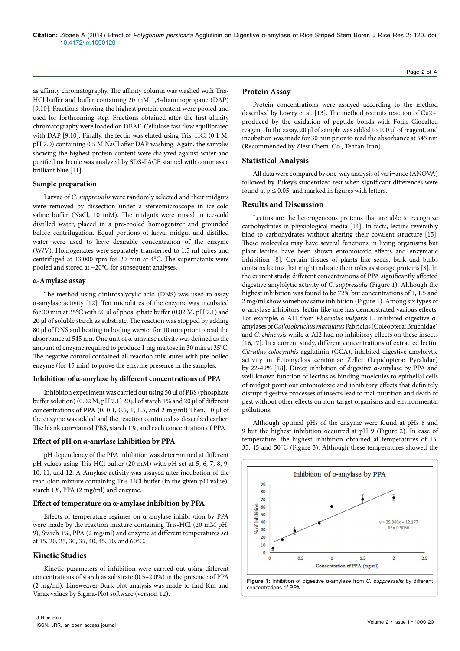as affinity chromatography. The affinity column was washed with Tris-HCl buffer and buffer containing 20 mM 1,3-diaminopropane (DAP) [9,10]. Fractions showing the highest protein content were pooled and used for forthcoming step. Fractions obtained after the first affinity chromatography were loaded on DEAE-Cellulose fast flow equilibrated with DAP [9,10]. Finally, the lectin was eluted using Tris–HCl (0.1 M, pH 7.0) containing 0.5 M NaCl after DAP washing. Again, the samples showing the highest protein content were dialyzed against water and purified molecule was analyzed by SDS-PAGE stained with commassie brilliant blue [11].

#### **Sample preparation**

Larvae of *C. suppressalis* were randomly selected and their midguts were removed by dissection under a stereomicroscope in ice-cold saline buffer (NaCl, 10 mM). The midguts were rinsed in ice-cold distilled water, placed in a pre-cooled homogenizer and grounded before centrifugation. Equal portions of larval midgut and distilled water were used to have desirable concentration of the enzyme (W/V). Homogenates were separately transferred to 1.5 ml tubes and centrifuged at 13,000 rpm for 20 min at 4°C. The supernatants were pooled and stored at −20°C for subsequent analyses.

#### **α-Amylase assay**

The method using dinitrosalycylic acid (DNS) was used to assay α-amylase activity [12]. Ten microlitres of the enzyme was incubated for 30 min at 35°C with 50 μl of phos¬phate buffer (0.02 M, pH 7.1) and 20 μl of soluble starch as substrate. The reaction was stopped by adding 80 μl of DNS and heating in boiling wa¬ter for 10 min prior to read the absorbance at 545 nm. One unit of α-amylase activity was defined as the amount of enzyme required to produce 1 mg maltose in 30 min at 35°C. The negative control contained all reaction mix¬tures with pre-boiled enzyme (for 15 min) to prove the enzyme presence in the samples.

## **Inhibition of α-amylase by different concentrations of PPA**

Inhibition experiment was carried out using 50 µl of PBS (phosphate buffer solution) (0.02 M, pH 7.1) 20 µl of starch 1% and 20 µl of different concentrations of PPA  $(0, 0.1, 0.5, 1, 1.5,$  and 2 mg/ml) Then, 10  $\mu$ l of the enzyme was added and the reaction continued as described earlier. The blank con¬tained PBS, starch 1%, and each concentration of PPA.

#### **Effect of pH on α-amylase inhibition by PPA**

pH dependency of the PPA inhibition was deter¬mined at different pH values using Tris-HCl buffer (20 mM) with pH set at 5, 6, 7, 8, 9, 10, 11, and 12. Α-Amylase activity was assayed after incubation of the reac¬tion mixture containing Tris-HCl buffer (in the given pH value), starch 1%, PPA (2 mg/ml) and enzyme.

## **Effect of temperature on α-amylase inhibition by PPA**

Effects of temperature regimes on α-amylase inhibi¬tion by PPA were made by the reaction mixture containing Tris-HCl (20 mM pH, 9), Starch 1%, PPA (2 mg/ml) and enzyme at different temperatures set at 15, 20, 25, 30, 35, 40, 45, 50, and 60°C.

## **Kinetic Studies**

Kinetic parameters of inhibition were carried out using different concentrations of starch as substrate (0.5–2.0%) in the presence of PPA (2 mg/ml). Lineweaver-Burk plot analysis was made to find Km and Vmax values by Sigma-Plot software (version 12).

## **Protein Assay**

Protein concentrations were assayed according to the method described by Lowry et al. [13]. The method recruits reaction of Cu2+, produced by the oxidation of peptide bonds with Folin–Ciocalteu reagent. In the assay, 20 µl of sample was added to 100 µl of reagent, and incubation was made for 30 min prior to read the absorbance at 545 nm (Recommended by Ziest Chem. Co., Tehran-Iran).

## **Statistical Analysis**

All data were compared by one-way analysis of vari¬ance (ANOVA) followed by Tukey's studentized test when significant differences were found at  $p \le 0.05$ , and marked in figures with letters.

## **Results and Discussion**

Lectins are the heterogeneous proteins that are able to recognize carbohydrates in physiological media [14]. In facts, lectins reversibly bind to carbohydrates without altering their covalent structure [15]. These molecules may have several functions in living organisms but plant lectins have been shown entomotoxic effects and enzymatic inhibition [8]. Certain tissues of plants like seeds, bark and bulbs contains lectins that might indicate their roles as storage proteins [8]. In the current study, different concentrations of PPA significantly affected digestive amylolytic activity of *C. suppressalis* (Figure 1). Although the highest inhibition was found to be 72% but concentrations of 1, 1.5 and 2 mg/ml show somehow same inhibition (Figure 1). Among six types of α-amylase inhibitors, lectin-like one has demonstrated various effects. For example, α-AI1 from *Phaseolus vulgaris* L. inhibited digestive αamylases of *Callosobruchus maculatus* Fabricius (Coleoptera: Bruchidae) and *C. chinensis* while α-AI2 had no inhibitory effects on these insects [16,17]. In a current study, different concentrations of extracted lectin, *Citrullus colocynthis* agglutinin (CCA), inhibited digestive amylolytic activity in Ectomyelois ceratoniae Zeller (Lepidoptera: Pyralidae) by 22-49% [18]. Direct inhibition of digestive α-amylase by PPA and well-known function of lectins as binding moelcules to epithelial cells of midgut point out entomotoxic and inhibitory effects that definitely disrupt digestive processes of insects lead to mal-nutrition and death of pest without other effects on non-target organisms and environmental pollutions.

Although optimal pHs of the enzyme were found at pHs 8 and 9 but the highest inhibition occurred at pH 9 (Figure 2). In case of temperature, the highest inhibition obtained at temperatures of 15, 35, 45 and 50˚C (Figure 3). Although these temperatures showed the

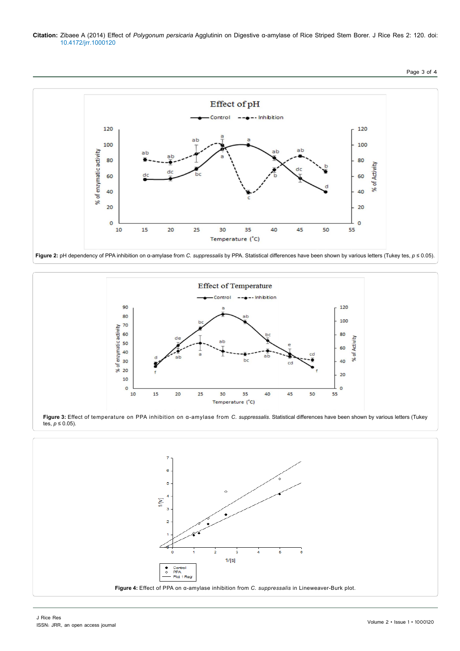**Citation:** Zibaee A (2014) Effect of *Polygonum persicaria* Agglutinin on Digestive α-amylase of Rice Striped Stem Borer. J Rice Res 2: 120. doi: [10.4172/jrr.1000120](http://dx.doi.org/10.4172/jrr.1000120)



Page 3 of 4





**Figure 3:** Effect of temperature on PPA inhibition on α-amylase from *C. suppressalis*. Statistical differences have been shown by various letters (Tukey tes,  $p$  ≤ 0.05).